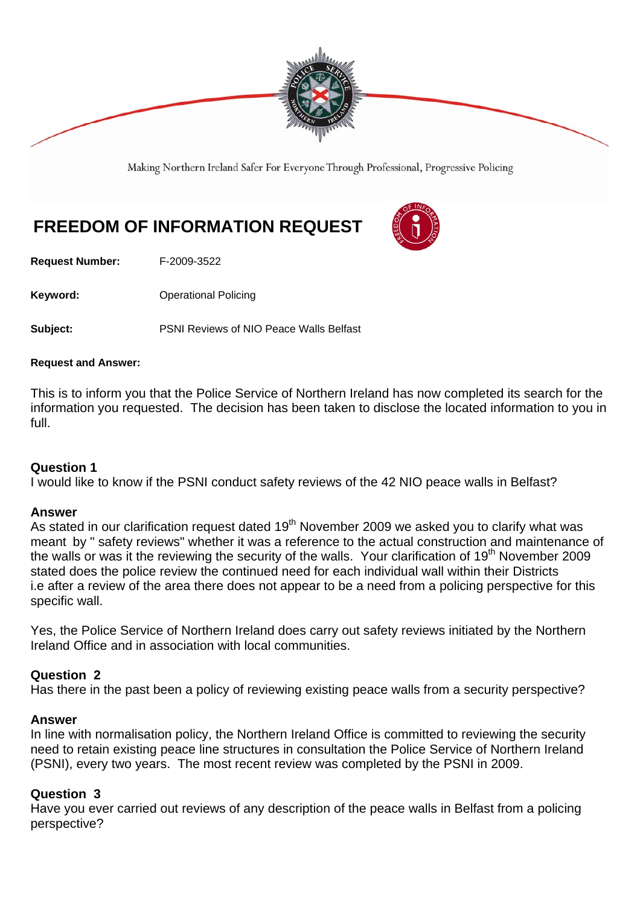

Making Northern Ireland Safer For Everyone Through Professional, Progressive Policing

# **FREEDOM OF INFORMATION REQUEST**

**Request Number:** F-2009-3522

**Keyword: Conservery Operational Policing** 

**Subject:** PSNI Reviews of NIO Peace Walls Belfast

## **Request and Answer:**

This is to inform you that the Police Service of Northern Ireland has now completed its search for the information you requested. The decision has been taken to disclose the located information to you in full.

## **Question 1**

I would like to know if the PSNI conduct safety reviews of the 42 NIO peace walls in Belfast?

## **Answer**

As stated in our clarification request dated 19<sup>th</sup> November 2009 we asked you to clarify what was meant by " safety reviews" whether it was a reference to the actual construction and maintenance of the walls or was it the reviewing the security of the walls. Your clarification of 19<sup>th</sup> November 2009 stated does the police review the continued need for each individual wall within their Districts i.e after a review of the area there does not appear to be a need from a policing perspective for this specific wall.

Yes, the Police Service of Northern Ireland does carry out safety reviews initiated by the Northern Ireland Office and in association with local communities.

## **Question 2**

Has there in the past been a policy of reviewing existing peace walls from a security perspective?

## **Answer**

In line with normalisation policy, the Northern Ireland Office is committed to reviewing the security need to retain existing peace line structures in consultation the Police Service of Northern Ireland (PSNI), every two years. The most recent review was completed by the PSNI in 2009.

## **Question 3**

Have you ever carried out reviews of any description of the peace walls in Belfast from a policing perspective?